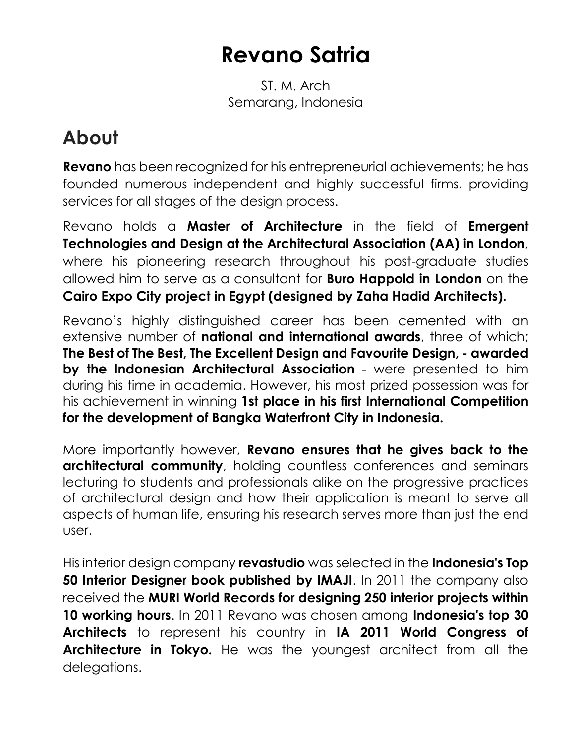# **Revano Satria**

ST. M. Arch Semarang, Indonesia

## **About**

**Revano** has been recognized for his entrepreneurial achievements; he has founded numerous independent and highly successful firms, providing services for all stages of the design process.

Revano holds a **Master of Architecture** in the field of **Emergent Technologies and Design at the Architectural Association (AA) in London**, where his pioneering research throughout his post-graduate studies allowed him to serve as a consultant for **Buro Happold in London** on the **Cairo Expo City project in Egypt (designed by Zaha Hadid Architects).**

Revano's highly distinguished career has been cemented with an extensive number of **national and international awards**, three of which; **The Best of The Best, The Excellent Design and Favourite Design, - awarded by the Indonesian Architectural Association** - were presented to him during his time in academia. However, his most prized possession was for his achievement in winning **1st place in his first International Competition for the development of Bangka Waterfront City in Indonesia.**

More importantly however, **Revano ensures that he gives back to the architectural community**, holding countless conferences and seminars lecturing to students and professionals alike on the progressive practices of architectural design and how their application is meant to serve all aspects of human life, ensuring his research serves more than just the end user.

His interior design company **revastudio** was selected in the **Indonesia's Top 50 Interior Designer book published by IMAJI.** In 2011 the company also received the **MURI World Records for designing 250 interior projects within 10 working hours**. In 2011 Revano was chosen among **Indonesia's top 30 Architects** to represent his country in **IA 2011 World Congress of Architecture in Tokyo.** He was the youngest architect from all the delegations.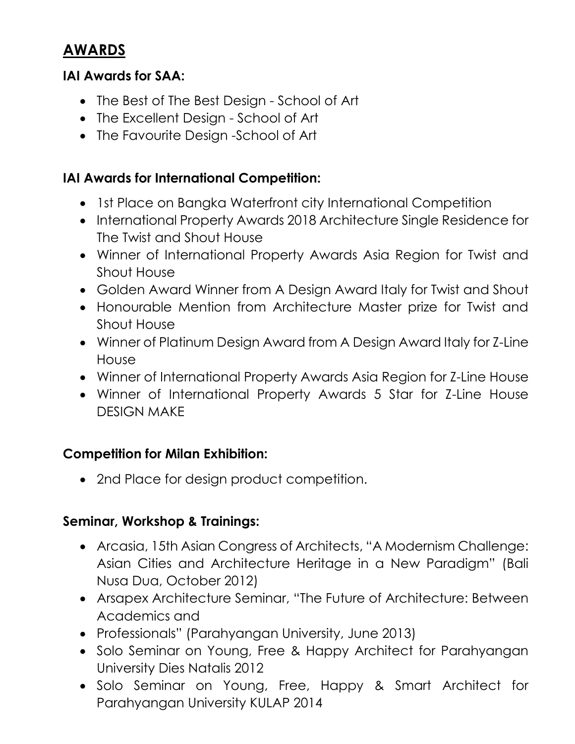### **AWARDS**

#### **IAI Awards for SAA:**

- The Best of The Best Design School of Art
- The Excellent Design School of Art
- The Favourite Design -School of Art

#### **IAI Awards for International Competition:**

- 1st Place on Bangka Waterfront city International Competition
- International Property Awards 2018 Architecture Single Residence for The Twist and Shout House
- Winner of International Property Awards Asia Region for Twist and Shout House
- Golden Award Winner from A Design Award Italy for Twist and Shout
- Honourable Mention from Architecture Master prize for Twist and Shout House
- Winner of Platinum Design Award from A Design Award Italy for Z-Line House
- Winner of International Property Awards Asia Region for Z-Line House
- Winner of International Property Awards 5 Star for Z-Line House DESIGN MAKE

#### **Competition for Milan Exhibition:**

• 2nd Place for design product competition.

#### **Seminar, Workshop & Trainings:**

- Arcasia, 15th Asian Congress of Architects, "A Modernism Challenge: Asian Cities and Architecture Heritage in a New Paradigm" (Bali Nusa Dua, October 2012)
- Arsapex Architecture Seminar, "The Future of Architecture: Between Academics and
- Professionals" (Parahyangan University, June 2013)
- Solo Seminar on Young, Free & Happy Architect for Parahyangan University Dies Natalis 2012
- Solo Seminar on Young, Free, Happy & Smart Architect for Parahyangan University KULAP 2014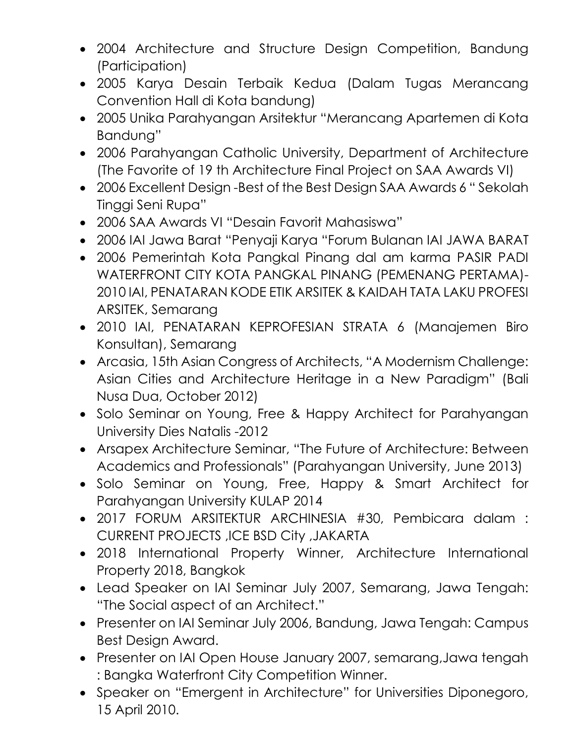- 2004 Architecture and Structure Design Competition, Bandung (Participation)
- 2005 Karya Desain Terbaik Kedua (Dalam Tugas Merancang Convention Hall di Kota bandung)
- 2005 Unika Parahyangan Arsitektur "Merancang Apartemen di Kota Bandung"
- 2006 Parahyangan Catholic University, Department of Architecture (The Favorite of 19 th Architecture Final Project on SAA Awards VI)
- 2006 Excellent Design -Best of the Best Design SAA Awards 6 " Sekolah Tinggi Seni Rupa"
- 2006 SAA Awards VI "Desain Favorit Mahasiswa"
- 2006 IAI Jawa Barat "Penyaji Karya "Forum Bulanan IAI JAWA BARAT
- 2006 Pemerintah Kota Pangkal Pinang dal am karma PASIR PADI WATERFRONT CITY KOTA PANGKAL PINANG (PEMENANG PERTAMA)- 2010 IAI, PENATARAN KODE ETIK ARSITEK & KAIDAH TATA LAKU PROFESI ARSITEK, Semarang
- 2010 IAI, PENATARAN KEPROFESIAN STRATA 6 (Manajemen Biro Konsultan), Semarang
- Arcasia, 15th Asian Congress of Architects, "A Modernism Challenge: Asian Cities and Architecture Heritage in a New Paradigm" (Bali Nusa Dua, October 2012)
- Solo Seminar on Young, Free & Happy Architect for Parahyangan University Dies Natalis -2012
- Arsapex Architecture Seminar, "The Future of Architecture: Between Academics and Professionals" (Parahyangan University, June 2013)
- Solo Seminar on Young, Free, Happy & Smart Architect for Parahyangan University KULAP 2014
- 2017 FORUM ARSITEKTUR ARCHINESIA #30, Pembicara dalam : CURRENT PROJECTS ,ICE BSD City ,JAKARTA
- 2018 International Property Winner, Architecture International Property 2018, Bangkok
- Lead Speaker on IAI Seminar July 2007, Semarang, Jawa Tengah: "The Social aspect of an Architect."
- Presenter on IAI Seminar July 2006, Bandung, Jawa Tengah: Campus Best Design Award.
- Presenter on IAI Open House January 2007, semarang,Jawa tengah : Bangka Waterfront City Competition Winner.
- Speaker on "Emergent in Architecture" for Universities Diponegoro, 15 April 2010.